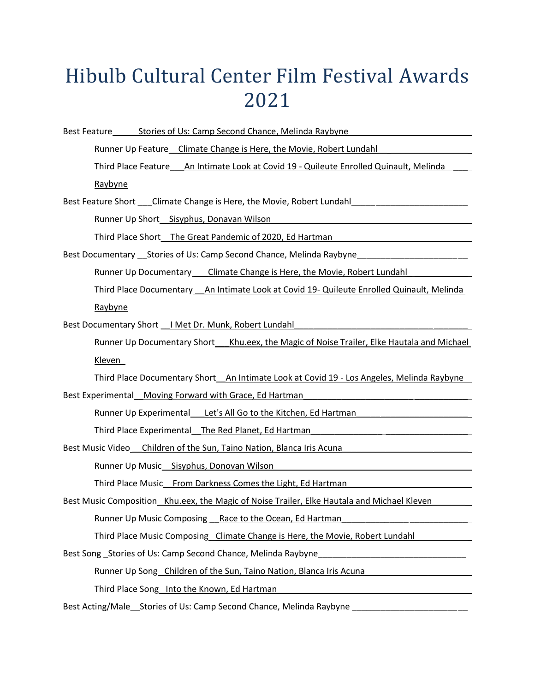## Hibulb Cultural Center Film Festival Awards 2021

Best Feature Stories of Us: Camp Second Chance, Melinda Raybyne

Runner Up Feature\_ Climate Change is Here, the Movie, Robert Lundahl\_

Third Place Feature An Intimate Look at Covid 19 - Quileute Enrolled Quinault, Melinda Raybyne

Best Feature Short Climate Change is Here, the Movie, Robert Lundahl

Runner Up Short Sisyphus, Donavan Wilson

Third Place Short The Great Pandemic of 2020, Ed Hartman

Best Documentary \_\_\_ Stories of Us: Camp Second Chance, Melinda Raybyne

Runner Up Documentary Climate Change is Here, the Movie, Robert Lundahl

Third Place Documentary \_\_An Intimate Look at Covid 19- Quileute Enrolled Quinault, Melinda

Raybyne

Best Documentary Short | Met Dr. Munk, Robert Lundahl

Runner Up Documentary Short\_\_\_Khu.eex, the Magic of Noise Trailer, Elke Hautala and Michael Kleven\_

Third Place Documentary Short\_An Intimate Look at Covid 19 - Los Angeles, Melinda Raybyne

Best Experimental Moving Forward with Grace, Ed Hartman

Runner Up Experimental Let's All Go to the Kitchen, Ed Hartman

Third Place Experimental The Red Planet, Ed Hartman

Best Music Video Children of the Sun, Taino Nation, Blanca Iris Acuna

Runner Up Music Sisyphus, Donovan Wilson

Third Place Music From Darkness Comes the Light, Ed Hartman

Best Music Composition Khu.eex, the Magic of Noise Trailer, Elke Hautala and Michael Kleven

Runner Up Music Composing Race to the Ocean, Ed Hartman

Third Place Music Composing \_Climate Change is Here, the Movie, Robert Lundahl

Best Song Stories of Us: Camp Second Chance, Melinda Raybyne

Runner Up Song Children of the Sun, Taino Nation, Blanca Iris Acuna

Third Place Song Into the Known, Ed Hartman

Best Acting/Male Stories of Us: Camp Second Chance, Melinda Raybyne